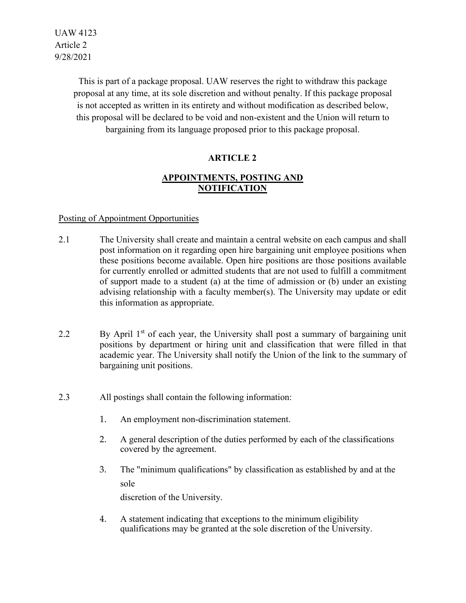UAW 4123 Article 2 9/28/2021

> This is part of a package proposal. UAW reserves the right to withdraw this package proposal at any time, at its sole discretion and without penalty. If this package proposal is not accepted as written in its entirety and without modification as described below, this proposal will be declared to be void and non-existent and the Union will return to bargaining from its language proposed prior to this package proposal.

# **ARTICLE 2**

# **APPOINTMENTS, POSTING AND NOTIFICATION**

## Posting of Appointment Opportunities

- 2.1 The University shall create and maintain a central website on each campus and shall post information on it regarding open hire bargaining unit employee positions when these positions become available. Open hire positions are those positions available for currently enrolled or admitted students that are not used to fulfill a commitment of support made to a student (a) at the time of admission or (b) under an existing advising relationship with a faculty member(s). The University may update or edit this information as appropriate.
- 2.2 By April  $1<sup>st</sup>$  of each year, the University shall post a summary of bargaining unit positions by department or hiring unit and classification that were filled in that academic year. The University shall notify the Union of the link to the summary of bargaining unit positions.
- 2.3 All postings shall contain the following information:
	- 1. An employment non-discrimination statement.
	- 2. A general description of the duties performed by each of the classifications covered by the agreement.
	- 3. The "minimum qualifications" by classification as established by and at the sole

discretion of the University.

4. A statement indicating that exceptions to the minimum eligibility qualifications may be granted at the sole discretion of the University.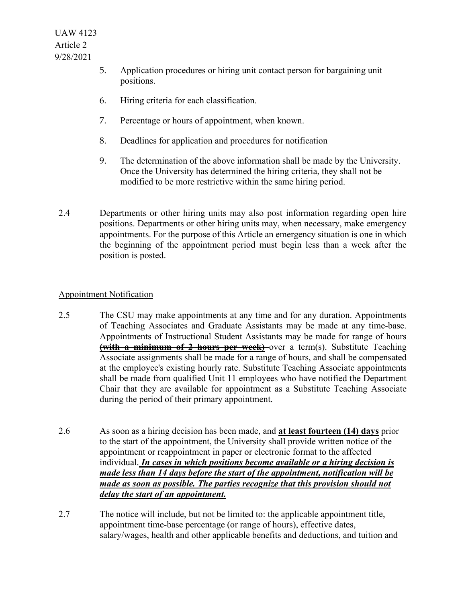- 5. Application procedures or hiring unit contact person for bargaining unit positions.
- 6. Hiring criteria for each classification.
- 7. Percentage or hours of appointment, when known.
- 8. Deadlines for application and procedures for notification
- 9. The determination of the above information shall be made by the University. Once the University has determined the hiring criteria, they shall not be modified to be more restrictive within the same hiring period.
- 2.4 Departments or other hiring units may also post information regarding open hire positions. Departments or other hiring units may, when necessary, make emergency appointments. For the purpose of this Article an emergency situation is one in which the beginning of the appointment period must begin less than a week after the position is posted.

# Appointment Notification

- 2.5 The CSU may make appointments at any time and for any duration. Appointments of Teaching Associates and Graduate Assistants may be made at any time-base. Appointments of Instructional Student Assistants may be made for range of hours **(with a minimum of 2 hours per week)** over a term(s). Substitute Teaching Associate assignments shall be made for a range of hours, and shall be compensated at the employee's existing hourly rate. Substitute Teaching Associate appointments shall be made from qualified Unit 11 employees who have notified the Department Chair that they are available for appointment as a Substitute Teaching Associate during the period of their primary appointment.
- 2.6 As soon as a hiring decision has been made, and **at least fourteen (14) days** prior to the start of the appointment, the University shall provide written notice of the appointment or reappointment in paper or electronic format to the affected individual. *In cases in which positions become available or a hiring decision is made less than 14 days before the start of the appointment, notification will be made as soon as possible. The parties recognize that this provision should not delay the start of an appointment.*
- 2.7 The notice will include, but not be limited to: the applicable appointment title, appointment time-base percentage (or range of hours), effective dates, salary/wages, health and other applicable benefits and deductions, and tuition and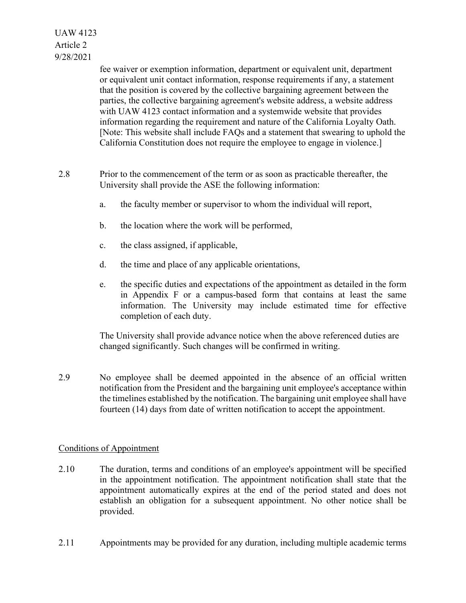UAW 4123 Article 2 9/28/2021

> fee waiver or exemption information, department or equivalent unit, department or equivalent unit contact information, response requirements if any, a statement that the position is covered by the collective bargaining agreement between the parties, the collective bargaining agreement's website address, a website address with UAW 4123 contact information and a systemwide website that provides information regarding the requirement and nature of the California Loyalty Oath. [Note: This website shall include FAQs and a statement that swearing to uphold the California Constitution does not require the employee to engage in violence.]

- 2.8 Prior to the commencement of the term or as soon as practicable thereafter, the University shall provide the ASE the following information:
	- a. the faculty member or supervisor to whom the individual will report,
	- b. the location where the work will be performed,
	- c. the class assigned, if applicable,
	- d. the time and place of any applicable orientations,
	- e. the specific duties and expectations of the appointment as detailed in the form in Appendix F or a campus-based form that contains at least the same information. The University may include estimated time for effective completion of each duty.

The University shall provide advance notice when the above referenced duties are changed significantly. Such changes will be confirmed in writing.

2.9 No employee shall be deemed appointed in the absence of an official written notification from the President and the bargaining unit employee's acceptance within the timelines established by the notification. The bargaining unit employee shall have fourteen (14) days from date of written notification to accept the appointment.

## Conditions of Appointment

- 2.10 The duration, terms and conditions of an employee's appointment will be specified in the appointment notification. The appointment notification shall state that the appointment automatically expires at the end of the period stated and does not establish an obligation for a subsequent appointment. No other notice shall be provided.
- 2.11 Appointments may be provided for any duration, including multiple academic terms